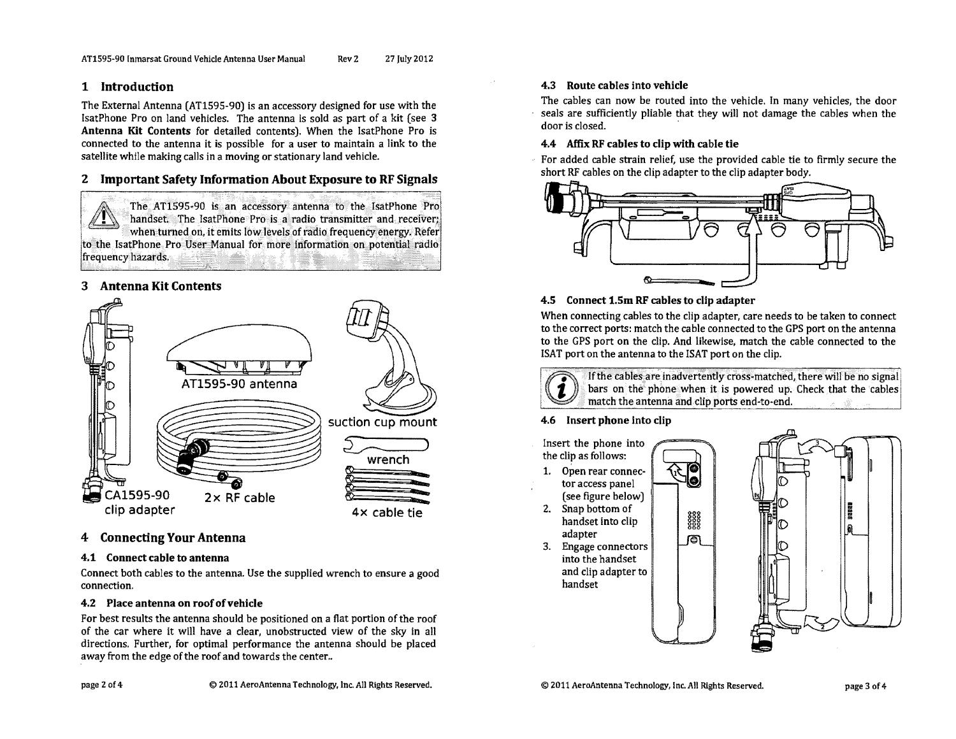# 1 Introduction

The External Antenna (AT1595-90) is an accessory designed for use with the IsatPhone Pro on land vehicles. The antenna is sold as part of a kit (see 3) Antenna Kit Contents for detailed contents). When the IsatPhone Pro is connected to the antenna it is possible for a user to maintain a link to the satellite while making calls in a moving or stationary land vehicle.

# 2 Important Safety Information About Exposure to RF Signals

The AT1595-90 is an accessory antenna to the IsatPhone Pro handset. The IsatPhone Pro is a radio transmitter and receiver; when turned on, it emits low levels of radio frequency energy. Refer to the IsatPhone Pro User Manual for more information on potential radio frequency hazards.

# 3 Antenna Kit Contents



# 4 Connecting Your Antenna

#### 4.1 Connect cable to antenna

Connect both cables to the antenna. Use the supplied wrench to ensure a good connection.

### 4.2 Place antenna on roof of vehicle

For best results the antenna should be positioned on a flat portion of the roof of the car where it will have a clear, unobstructed view of the sky in all directions. Further, for optimal performance the antenna should be placed away from the edge of the roof and towards the center..

# page 2 of 4

### 4.3 Route cables into vehicle

The cables can now be routed into the vehicle. In many vehicles, the door seals are sufficiently pliable that they will not damage the cables when the door is closed.

#### 4.4 Affix RF cables to clip with cable tie

For added cable strain relief, use the provided cable tie to firmly secure the short RF cables on the clip adapter to the clip adapter body.



### 4.5 Connect 1.5m RF cables to clip adapter

When connecting cables to the clip adapter, care needs to be taken to connect to the correct ports: match the cable connected to the GPS port on the antenna to the GPS port on the clip. And likewise, match the cable connected to the ISAT port on the antenna to the ISAT port on the clip.

3888<br>2888<br>2888

同



If the cables are inadvertently cross-matched, there will be no signal bars on the phone when it is powered up. Check that the cables match the antenna and clip ports end-to-end. 2018年

### 4.6 Insert phone into clip

Insert the phone into the clip as follows:

1. Open rear connector access panel (see figure below)

2. Snap bottom of handset into clip adapter

3. Engage connectors into the handset and clip adapter to handset

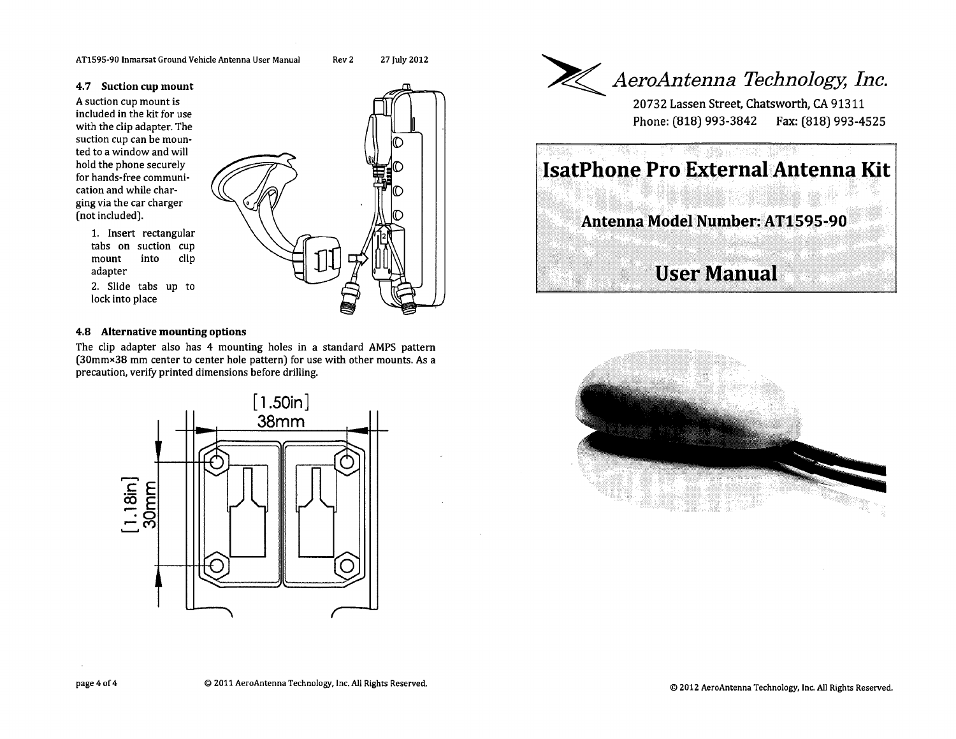#### **4. 7 Suction cup mount**

<sup>А</sup>suction cup mount is included in the kit for use with the clip adapter. The suction cup can be mounted to a window and will hold the phone securely for hands-free communication and while charging via the car charger (not included).

1. lnsert rectangular tabs on suction cup<br>mount into clip 2. Slide tabs up to

#### **4.8 Alternative mounting options**

The clip adapter also has 4 mounting holes in a standard AMPS pattern  $(30$ mm×38 mm center to center hole pattern) for use with other mounts. As a precaution, verify printed dimensions before drilling.







mount adapter

lock into place